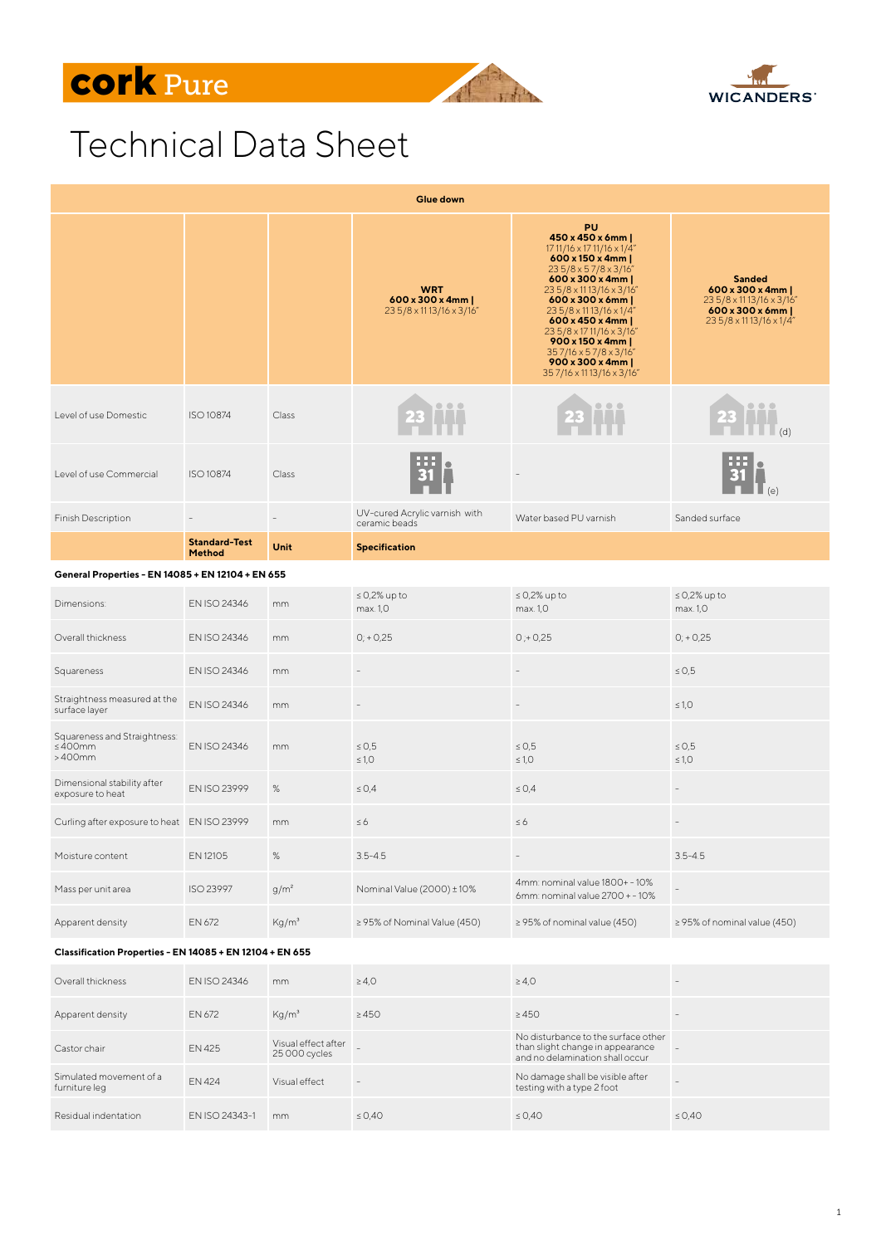## **cork** Pure





## Technical Data Sheet

| Glue down                                                |                                |                                      |                                                                       |                                                                                                                                                                                                                                                                                                                                                                 |                                                                                                                                        |  |  |  |
|----------------------------------------------------------|--------------------------------|--------------------------------------|-----------------------------------------------------------------------|-----------------------------------------------------------------------------------------------------------------------------------------------------------------------------------------------------------------------------------------------------------------------------------------------------------------------------------------------------------------|----------------------------------------------------------------------------------------------------------------------------------------|--|--|--|
|                                                          |                                |                                      | <b>WRT</b><br>$600 \times 300 \times 4$ mm<br>235/8 x 1113/16 x 3/16" | <b>PU</b><br>450 x 450 x 6mm  <br>17 11/16 x 17 11/16 x 1/4"<br>600 x 150 x 4mm  <br>235/8x57/8x3/16"<br>$600 \times 300 \times 4$ mm<br>23 5/8 x 11 13/16 x 3/16"<br>600 x 300 x 6mm<br>235/8 x 1113/16 x 1/4"<br>600 x 450 x 4mm  <br>235/8 x 1711/16 x 3/16"<br>900 x 150 x 4mm  <br>357/16 x 57/8 x 3/16"<br>900 x 300 x 4mm  <br>357/16 x 11 13/16 x 3/16" | <b>Sanded</b><br>$600 \times 300 \times 4$ mm<br>23 5/8 x 11 13/16 x 3/16"<br>$600 \times 300 \times 6$ mm<br>23 5/8 x 11 13/16 x 1/4" |  |  |  |
| Level of use Domestic                                    | ISO 10874                      | Class                                |                                                                       |                                                                                                                                                                                                                                                                                                                                                                 |                                                                                                                                        |  |  |  |
| Level of use Commercial                                  | ISO 10874                      | Class                                |                                                                       |                                                                                                                                                                                                                                                                                                                                                                 |                                                                                                                                        |  |  |  |
| Finish Description                                       |                                |                                      | UV-cured Acrylic varnish with<br>ceramic beads                        | Water based PU varnish                                                                                                                                                                                                                                                                                                                                          | Sanded surface                                                                                                                         |  |  |  |
|                                                          | <b>Standard-Test</b><br>Method | Unit                                 | <b>Specification</b>                                                  |                                                                                                                                                                                                                                                                                                                                                                 |                                                                                                                                        |  |  |  |
| General Properties - EN 14085 + EN 12104 + EN 655        |                                |                                      |                                                                       |                                                                                                                                                                                                                                                                                                                                                                 |                                                                                                                                        |  |  |  |
| Dimensions:                                              | EN ISO 24346                   | mm                                   | $\leq$ 0,2% up to<br>max. 1.0                                         | $\leq$ 0,2% up to<br>max. 1,0                                                                                                                                                                                                                                                                                                                                   | $\leq$ 0,2% up to<br>max. 1.0                                                                                                          |  |  |  |
| Overall thickness                                        | EN ISO 24346                   | mm                                   | $0; +0.25$                                                            | $0; +0.25$                                                                                                                                                                                                                                                                                                                                                      | $0; +0.25$                                                                                                                             |  |  |  |
| Squareness                                               | EN ISO 24346                   | mm                                   |                                                                       |                                                                                                                                                                                                                                                                                                                                                                 | $\leq 0.5$                                                                                                                             |  |  |  |
| Straightness measured at the<br>surface layer            | EN ISO 24346                   | mm                                   |                                                                       |                                                                                                                                                                                                                                                                                                                                                                 | $\leq 1,0$                                                                                                                             |  |  |  |
| Squareness and Straightness:<br>≤ 400mm<br>$>400$ mm     | EN ISO 24346                   | mm                                   | $\leq 0.5$<br>$\leq 1,0$                                              | $\leq 0.5$<br>$\leq 1.0$                                                                                                                                                                                                                                                                                                                                        | $\leq 0.5$<br>$\leq 1.0$                                                                                                               |  |  |  |
| Dimensional stability after<br>exposure to heat          | EN ISO 23999                   | %                                    | $\leq$ 0.4                                                            | $\leq$ 0.4                                                                                                                                                                                                                                                                                                                                                      |                                                                                                                                        |  |  |  |
| Curling after exposure to heat EN ISO 23999              |                                | mm                                   | $\leq 6$                                                              | $\leq 6$                                                                                                                                                                                                                                                                                                                                                        |                                                                                                                                        |  |  |  |
| Moisture content                                         | EN 12105                       | $\%$                                 | $3.5 - 4.5$                                                           | $\overline{\phantom{a}}$                                                                                                                                                                                                                                                                                                                                        | $3.5 - 4.5$                                                                                                                            |  |  |  |
| Mass per unit area                                       | ISO 23997                      | $g/m^2$                              | Nominal Value (2000) ± 10%                                            | 4mm: nominal value 1800+ - 10%<br>6mm: nominal value 2700 + - 10%                                                                                                                                                                                                                                                                                               | $\qquad \qquad -$                                                                                                                      |  |  |  |
| Apparent density                                         | EN 672                         | Kg/m <sup>3</sup>                    | $\geq$ 95% of Nominal Value (450)                                     | $\geq$ 95% of nominal value (450)                                                                                                                                                                                                                                                                                                                               | $\geq$ 95% of nominal value (450)                                                                                                      |  |  |  |
| Classification Properties - EN 14085 + EN 12104 + EN 655 |                                |                                      |                                                                       |                                                                                                                                                                                                                                                                                                                                                                 |                                                                                                                                        |  |  |  |
| Overall thickness                                        | EN ISO 24346                   | mm                                   | $\geq 4.0$                                                            | $\geq 4.0$                                                                                                                                                                                                                                                                                                                                                      | $\overline{a}$                                                                                                                         |  |  |  |
| Apparent density                                         | EN 672                         | Kg/m <sup>3</sup>                    | $\geq 450$                                                            | $\geq 450$                                                                                                                                                                                                                                                                                                                                                      | $\overline{a}$                                                                                                                         |  |  |  |
| Castor chair                                             | EN 425                         | Visual effect after<br>25 000 cycles | $\overline{a}$                                                        | No disturbance to the surface other<br>than slight change in appearance<br>and no delamination shall occur                                                                                                                                                                                                                                                      | $\overline{\phantom{a}}$                                                                                                               |  |  |  |
| Simulated movement of a<br>furniture leg                 | EN 424                         | Visual effect                        | $\overline{\phantom{a}}$                                              | No damage shall be visible after<br>testing with a type 2 foot                                                                                                                                                                                                                                                                                                  | L,                                                                                                                                     |  |  |  |
| Residual indentation                                     | EN ISO 24343-1                 | mm                                   | $\leq$ 0,40                                                           | $\leq$ 0,40                                                                                                                                                                                                                                                                                                                                                     | $\leq 0,40$                                                                                                                            |  |  |  |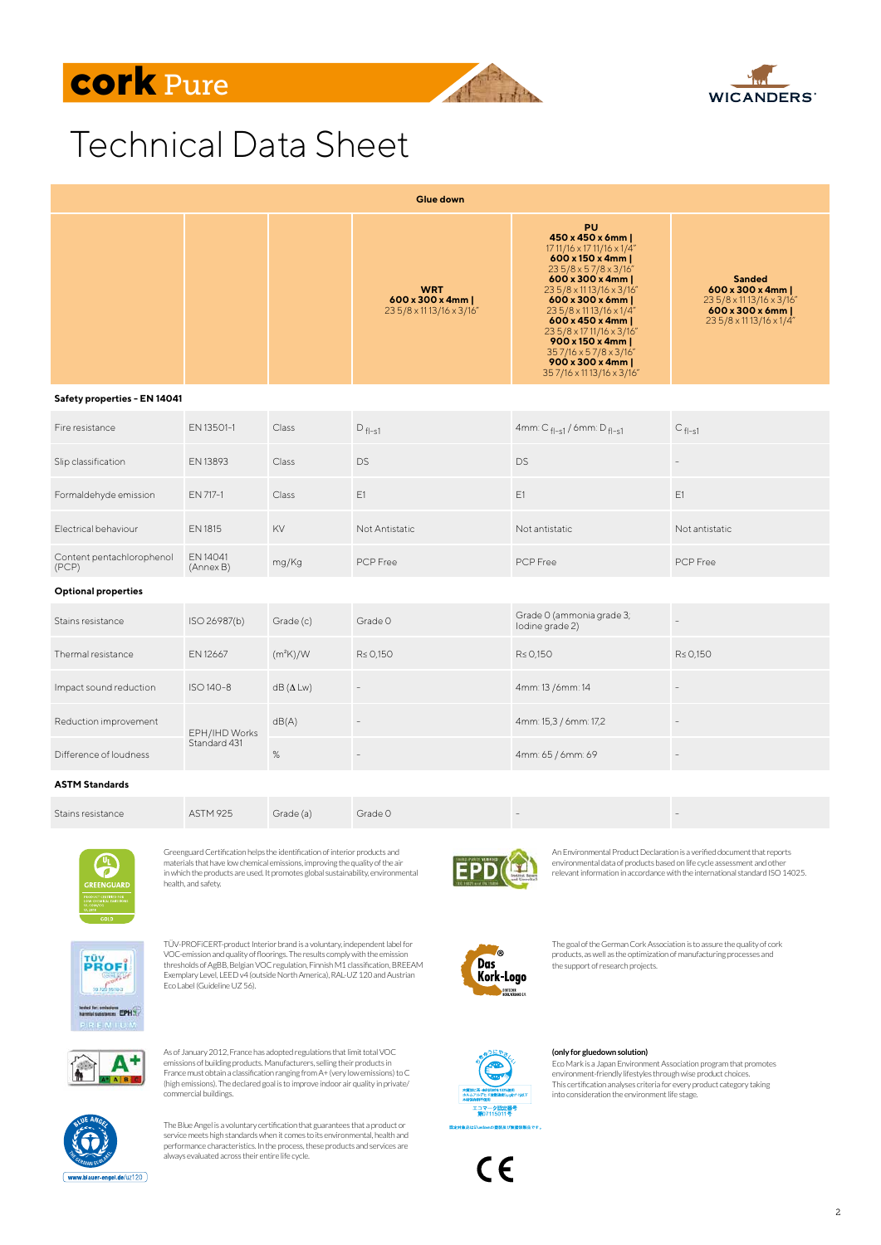





## Technical Data Sheet

| <b>Glue down</b>                   |                               |                      |                                                            |                                                                                                                                                                                                                                                                                                                                                                                               |                                                                                                                             |  |  |  |
|------------------------------------|-------------------------------|----------------------|------------------------------------------------------------|-----------------------------------------------------------------------------------------------------------------------------------------------------------------------------------------------------------------------------------------------------------------------------------------------------------------------------------------------------------------------------------------------|-----------------------------------------------------------------------------------------------------------------------------|--|--|--|
|                                    |                               |                      | <b>WRT</b><br>600 x 300 x 4mm  <br>235/8 x 1113/16 x 3/16" | <b>PU</b><br>450 x 450 x 6mm  <br>17 11/16 x 17 11/16 x 1/4"<br>$600 \times 150 \times 4$ mm<br>235/8 x 57/8 x 3/16"<br>$600 \times 300 \times 4$ mm<br>23 5/8 x 11 13/16 x 3/16"<br>600 x 300 x 6mm  <br>23 5/8 x 11 13/16 x 1/4"<br>600 x 450 x 4mm  <br>235/8 x 1711/16 x 3/16"<br>$900 \times 150 \times 4$ mm<br>357/16 x 57/8 x 3/16"<br>900 x 300 x 4mm  <br>357/16 x 11 13/16 x 3/16" | <b>Sanded</b><br>$600 \times 300 \times 4$ mm<br>23 5/8 x 11 13/16 x 3/16"<br>600 x 300 x 6mm  <br>23 5/8 x 11 13/16 x 1/4" |  |  |  |
| Safety properties - EN 14041       |                               |                      |                                                            |                                                                                                                                                                                                                                                                                                                                                                                               |                                                                                                                             |  |  |  |
| Fire resistance                    | EN 13501-1                    | Class                | $D_{fl-s1}$                                                | 4mm: $C_{fl-S1}$ / 6mm: $D_{fl-S1}$                                                                                                                                                                                                                                                                                                                                                           | $C_{fl-s1}$                                                                                                                 |  |  |  |
| Slip classification                | EN 13893                      | Class                | <b>DS</b>                                                  | <b>DS</b>                                                                                                                                                                                                                                                                                                                                                                                     |                                                                                                                             |  |  |  |
| Formaldehyde emission              | EN 717-1                      | Class                | E1                                                         | E1                                                                                                                                                                                                                                                                                                                                                                                            | E1                                                                                                                          |  |  |  |
| Electrical behaviour               | EN 1815                       | KV                   | Not Antistatic                                             | Not antistatic                                                                                                                                                                                                                                                                                                                                                                                | Not antistatic                                                                                                              |  |  |  |
| Content pentachlorophenol<br>(PCP) | EN 14041<br>(Annex B)         | mg/Kg                | PCP Free                                                   | PCP Free                                                                                                                                                                                                                                                                                                                                                                                      | PCP Free                                                                                                                    |  |  |  |
| <b>Optional properties</b>         |                               |                      |                                                            |                                                                                                                                                                                                                                                                                                                                                                                               |                                                                                                                             |  |  |  |
| Stains resistance                  | ISO 26987(b)                  | Grade (c)            | Grade 0                                                    | Grade 0 (ammonia grade 3;<br>lodine grade 2)                                                                                                                                                                                                                                                                                                                                                  | $\overline{\phantom{a}}$                                                                                                    |  |  |  |
| Thermal resistance                 | EN 12667                      | (m <sup>2</sup> K)/W | $R \le 0.150$                                              | R≤ 0,150                                                                                                                                                                                                                                                                                                                                                                                      | R≤ 0,150                                                                                                                    |  |  |  |
| Impact sound reduction             | ISO 140-8                     | $dB(\Delta Lw)$      | $\qquad \qquad -$                                          | 4mm: 13 /6mm: 14                                                                                                                                                                                                                                                                                                                                                                              | $\overline{\phantom{a}}$                                                                                                    |  |  |  |
| Reduction improvement              | EPH/IHD Works<br>Standard 431 | dB(A)                |                                                            | 4mm: 15,3 / 6mm: 17,2                                                                                                                                                                                                                                                                                                                                                                         | $\bar{ }$                                                                                                                   |  |  |  |
| Difference of loudness             |                               | $\%$                 | $\overline{\phantom{a}}$                                   | 4mm: 65 / 6mm: 69                                                                                                                                                                                                                                                                                                                                                                             | $\overline{\phantom{a}}$                                                                                                    |  |  |  |
| <b>ASTM Standards</b>              |                               |                      |                                                            |                                                                                                                                                                                                                                                                                                                                                                                               |                                                                                                                             |  |  |  |
| Stains resistance                  | <b>ASTM 925</b>               | Grade (a)            | Grade 0                                                    |                                                                                                                                                                                                                                                                                                                                                                                               |                                                                                                                             |  |  |  |



Greenguard Certification helps the identification of interior products and materials that have low chemical emissions, improving the quality of the air in which the products are used. It promotes global sustainability, environmental health, and safety.



TÜV-PROFiCERT-product Interior brand is a voluntary, independent label for VOC-emission and quality of floorings. The results comply with the emission thresholds of AgBB, Belgian VOC regulation, Finnish M1 classification, BREEAM Exemplary Level, LEED v4 (outside North America), RAL-UZ 120 and Austrian Eco Label (Guideline UZ 56).



As of January 2012, France has adopted regulations that limit total VOC emissions of building products. Manufacturers, selling their products in France must obtain a classification ranging from A+ (very low emissions) to C (high emissions). The declared goal is to improve indoor air quality in private/ commercial buildings.



The Blue Angel is a voluntary certification that guarantees that a product or service meets high standards when it comes to its environmental, health and performance characteristics. In the process, these products and services are always evaluated across their entire life cycle.



An Environmental Product Declaration is a verified document that reports environmental data of products based on life cycle assessment and other relevant information in accordance with the international standard ISO 14025.



The goal of the German Cork Association is to assure the quality of cork products, as well as the optimization of manufacturing processes and the support of research projects.



## **(only for gluedown solution)**

Eco Mark is a Japan Environment Association program that promotes environment-friendly lifestyles through wise product choices. This certification analyses criteria for every product category taking into consideration the environment life stage.



2